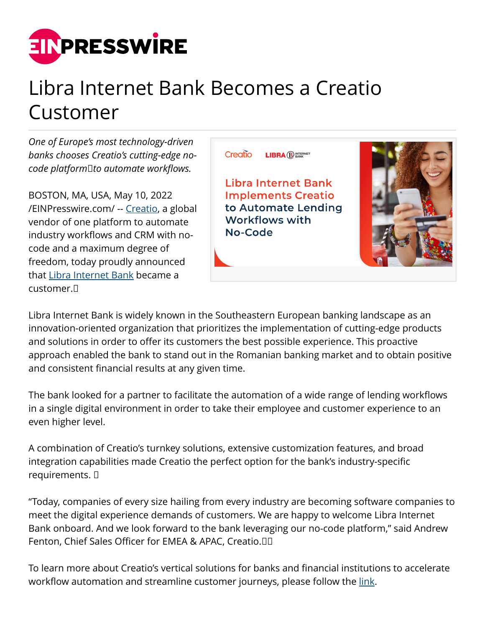

## Libra Internet Bank Becomes a Creatio Customer

*One of Europe's most technology-driven banks chooses Creatio's cutting-edge nocode platform to automate workflows.*

BOSTON, MA, USA, May 10, 2022 [/EINPresswire.com/](http://www.einpresswire.com) -- [Creatio](https://www.creatio.com/), a global vendor of one platform to automate industry workflows and CRM with nocode and a maximum degree of freedom, today proudly announced that [Libra Internet Bank](https://www.librabank.ro/) became a customer. 



Libra Internet Bank is widely known in the Southeastern European banking landscape as an innovation-oriented organization that prioritizes the implementation of cutting-edge products and solutions in order to offer its customers the best possible experience. This proactive approach enabled the bank to stand out in the Romanian banking market and to obtain positive and consistent financial results at any given time.

The bank looked for a partner to facilitate the automation of a wide range of lending workflows in a single digital environment in order to take their employee and customer experience to an even higher level.

A combination of Creatio's turnkey solutions, extensive customization features, and broad integration capabilities made Creatio the perfect option for the bank's industry-specific requirements.  

"Today, companies of every size hailing from every industry are becoming software companies to meet the digital experience demands of customers. We are happy to welcome Libra Internet Bank onboard. And we look forward to the bank leveraging our no-code platform," said Andrew Fenton, Chief Sales Officer for EMEA & APAC, Creatio.  

To learn more about Creatio's vertical solutions for banks and financial institutions to accelerate workflow automation and streamline customer journeys, please follow the [link](https://www.creatio.com/financial-services).